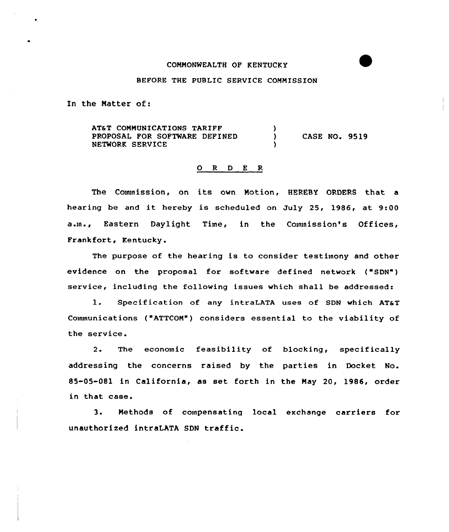## COMMONWEALTH OF KENTUCKY

## BEFORE THE PUBLIC SERVICE COMMISSION

In the Matter of:

AT& T COMMUNICATIONS TARIFF <sup>1</sup> PROPOSAL FOR SOFTWARE DEFINED  $\lambda$ CASE NO. 9519 NETWORK SERVICE

## 0 <sup>R</sup> <sup>D</sup> <sup>E</sup> <sup>R</sup>

The Commission, on its own Motion, HEREBY ORDERS that a hearing be and it hereby is scheduled on July 25, 1986, at 9:00 a.m., Eastern Daylight Time, in the Commission's Offices, Frankfort, Kentucky.

The purpose of the hearing is to consider testimony and other evidence on the proposal for software defined network ("SDN") service, including the following issues which shall be addressed:

1. Specification of any intraLATA uses of SDN which AT&T Communications ("ATTCOM") considers essential to the viability of the service.

2. The economic feasibility of blocking, specifically addressing the concerns raised by the parties in Docket No. 85-05-081 in California, as set forth in the May 20, 1986, order in that case.

3. Methods of compensating local exchange carriers for unauthorized intraLATA SDN traffic.